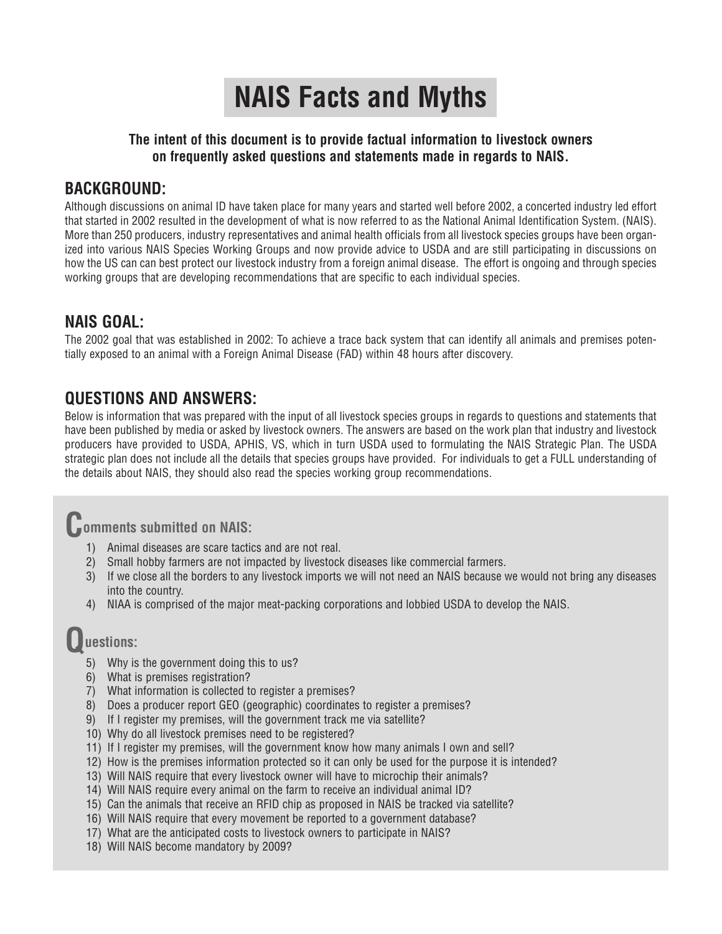# **NAIS Facts and Myths**

### **The intent of this document is to provide factual information to livestock owners on frequently asked questions and statements made in regards to NAIS.**

# **BACKGROUND:**

Although discussions on animal ID have taken place for many years and started well before 2002, a concerted industry led effort that started in 2002 resulted in the development of what is now referred to as the National Animal Identification System. (NAIS). More than 250 producers, industry representatives and animal health officials from all livestock species groups have been organized into various NAIS Species Working Groups and now provide advice to USDA and are still participating in discussions on how the US can can best protect our livestock industry from a foreign animal disease. The effort is ongoing and through species working groups that are developing recommendations that are specific to each individual species.

# **NAIS GOAL:**

The 2002 goal that was established in 2002: To achieve a trace back system that can identify all animals and premises potentially exposed to an animal with a Foreign Animal Disease (FAD) within 48 hours after discovery.

# **QUESTIONS AND ANSWERS:**

Below is information that was prepared with the input of all livestock species groups in regards to questions and statements that have been published by media or asked by livestock owners. The answers are based on the work plan that industry and livestock producers have provided to USDA, APHIS, VS, which in turn USDA used to formulating the NAIS Strategic Plan. The USDA strategic plan does not include all the details that species groups have provided. For individuals to get a FULL understanding of the details about NAIS, they should also read the species working group recommendations.

# **Comments submitted on NAIS:**

- 1) Animal diseases are scare tactics and are not real.
- 2) Small hobby farmers are not impacted by livestock diseases like commercial farmers.
- 3) If we close all the borders to any livestock imports we will not need an NAIS because we would not bring any diseases into the country.
- 4) NIAA is comprised of the major meat-packing corporations and lobbied USDA to develop the NAIS.

# **Questions:**

- 5) Why is the government doing this to us?
- 6) What is premises registration?
- 7) What information is collected to register a premises?
- 8) Does a producer report GEO (geographic) coordinates to register a premises?
- 9) If I register my premises, will the government track me via satellite?
- 10) Why do all livestock premises need to be registered?
- 11) If I register my premises, will the government know how many animals I own and sell?
- 12) How is the premises information protected so it can only be used for the purpose it is intended?
- 13) Will NAIS require that every livestock owner will have to microchip their animals?
- 14) Will NAIS require every animal on the farm to receive an individual animal ID?
- 15) Can the animals that receive an RFID chip as proposed in NAIS be tracked via satellite?
- 16) Will NAIS require that every movement be reported to a government database?
- 17) What are the anticipated costs to livestock owners to participate in NAIS?
- 18) Will NAIS become mandatory by 2009?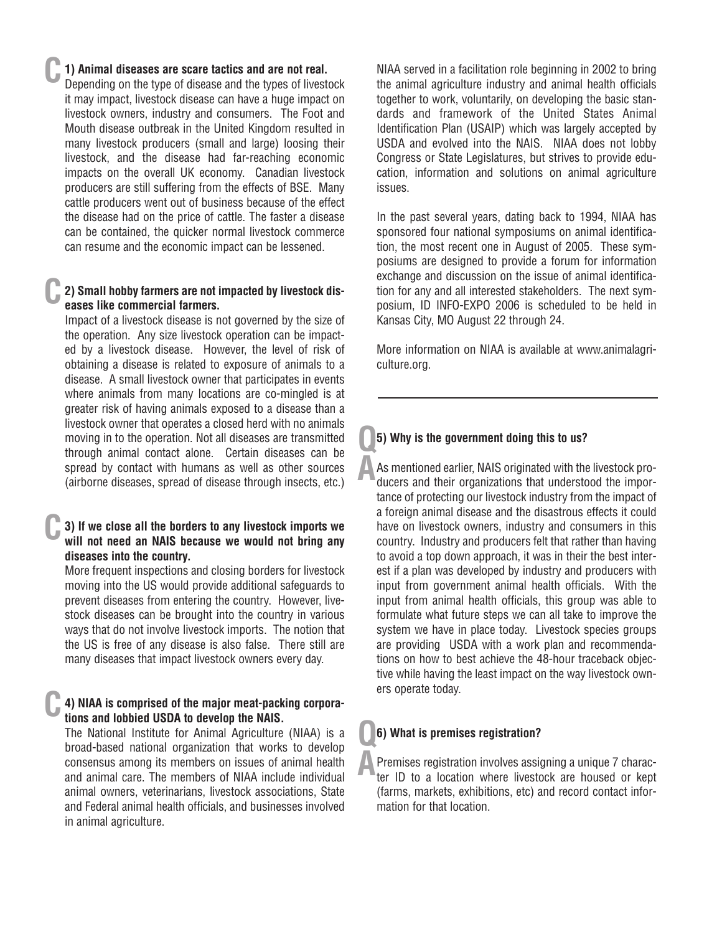### **C 1) Animal diseases are scare tactics and are not real.**

Depending on the type of disease and the types of livestock it may impact, livestock disease can have a huge impact on livestock owners, industry and consumers. The Foot and Mouth disease outbreak in the United Kingdom resulted in many livestock producers (small and large) loosing their livestock, and the disease had far-reaching economic impacts on the overall UK economy. Canadian livestock producers are still suffering from the effects of BSE. Many cattle producers went out of business because of the effect the disease had on the price of cattle. The faster a disease can be contained, the quicker normal livestock commerce can resume and the economic impact can be lessened.

### **C 2) Small hobby farmers are not impacted by livestock diseases like commercial farmers.**

Impact of a livestock disease is not governed by the size of the operation. Any size livestock operation can be impacted by a livestock disease. However, the level of risk of obtaining a disease is related to exposure of animals to a disease. A small livestock owner that participates in events where animals from many locations are co-mingled is at greater risk of having animals exposed to a disease than a livestock owner that operates a closed herd with no animals moving in to the operation. Not all diseases are transmitted through animal contact alone. Certain diseases can be spread by contact with humans as well as other sources (airborne diseases, spread of disease through insects, etc.)

### **C 3) If we close all the borders to any livestock imports we will not need an NAIS because we would not bring any diseases into the country.**

More frequent inspections and closing borders for livestock moving into the US would provide additional safeguards to prevent diseases from entering the country. However, livestock diseases can be brought into the country in various ways that do not involve livestock imports. The notion that the US is free of any disease is also false. There still are many diseases that impact livestock owners every day.

### **C 4) NIAA is comprised of the major meat-packing corporations and lobbied USDA to develop the NAIS.**

The National Institute for Animal Agriculture (NIAA) is a broad-based national organization that works to develop consensus among its members on issues of animal health and animal care. The members of NIAA include individual animal owners, veterinarians, livestock associations, State and Federal animal health officials, and businesses involved in animal agriculture.

NIAA served in a facilitation role beginning in 2002 to bring the animal agriculture industry and animal health officials together to work, voluntarily, on developing the basic standards and framework of the United States Animal Identification Plan (USAIP) which was largely accepted by USDA and evolved into the NAIS. NIAA does not lobby Congress or State Legislatures, but strives to provide education, information and solutions on animal agriculture issues.

In the past several years, dating back to 1994, NIAA has sponsored four national symposiums on animal identification, the most recent one in August of 2005. These symposiums are designed to provide a forum for information exchange and discussion on the issue of animal identification for any and all interested stakeholders. The next symposium, ID INFO-EXPO 2006 is scheduled to be held in Kansas City, MO August 22 through 24.

More information on NIAA is available at www.animalagriculture.org.

### **Q 5) Why is the government doing this to us?**

**A** As mentioned earlier, NAIS originated with the livestock producers and their organizations that understood the importance of protecting our livestock industry from the impact of a foreign animal disease and the disastrous effects it could have on livestock owners, industry and consumers in this country. Industry and producers felt that rather than having to avoid a top down approach, it was in their the best interest if a plan was developed by industry and producers with input from government animal health officials. With the input from animal health officials, this group was able to formulate what future steps we can all take to improve the system we have in place today. Livestock species groups are providing USDA with a work plan and recommendations on how to best achieve the 48-hour traceback objective while having the least impact on the way livestock owners operate today.

### **Q 6) What is premises registration?**

**A** Premises registration involves assigning a unique 7 character ID to a location where livestock are housed or kept (farms, markets, exhibitions, etc) and record contact information for that location.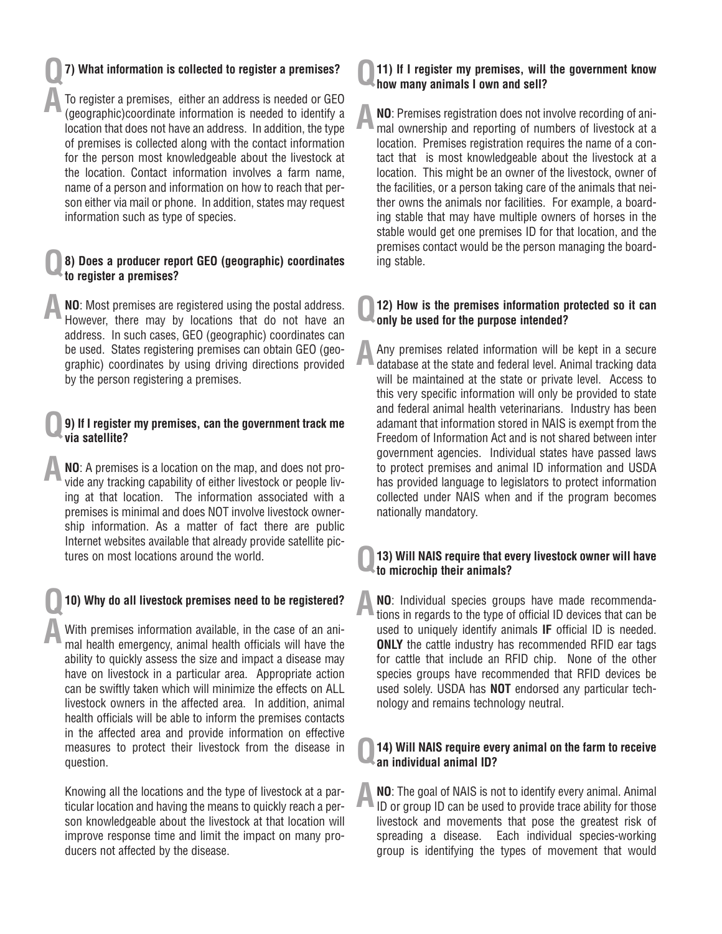### **7) What information is collected to register a premises? Q**

**A**

**A**

To register a premises, either an address is needed or GEO (geographic)coordinate information is needed to identify a location that does not have an address. In addition, the type of premises is collected along with the contact information for the person most knowledgeable about the livestock at the location. Contact information involves a farm name, name of a person and information on how to reach that person either via mail or phone. In addition, states may request information such as type of species.

#### **8) Does a producer report GEO (geographic) coordinates to register a premises? Q**

**NO**: Most premises are registered using the postal address. However, there may by locations that do not have an address. In such cases, GEO (geographic) coordinates can be used. States registering premises can obtain GEO (geographic) coordinates by using driving directions provided by the person registering a premises. **A**

### **9) If I register my premises, can the government track me via satellite? Q**

**NO**: A premises is a location on the map, and does not provide any tracking capability of either livestock or people living at that location. The information associated with a premises is minimal and does NOT involve livestock ownership information. As a matter of fact there are public Internet websites available that already provide satellite pictures on most locations around the world. **A**

### **10) Why do all livestock premises need to be registered? Q**

With premises information available, in the case of an animal health emergency, animal health officials will have the ability to quickly assess the size and impact a disease may have on livestock in a particular area. Appropriate action can be swiftly taken which will minimize the effects on ALL livestock owners in the affected area. In addition, animal health officials will be able to inform the premises contacts in the affected area and provide information on effective measures to protect their livestock from the disease in question.

Knowing all the locations and the type of livestock at a particular location and having the means to quickly reach a person knowledgeable about the livestock at that location will improve response time and limit the impact on many producers not affected by the disease.

#### **11) If I register my premises, will the government know how many animals I own and sell? Q**

**NO**: Premises registration does not involve recording of animal ownership and reporting of numbers of livestock at a location. Premises registration requires the name of a contact that is most knowledgeable about the livestock at a location. This might be an owner of the livestock, owner of the facilities, or a person taking care of the animals that neither owns the animals nor facilities. For example, a boarding stable that may have multiple owners of horses in the stable would get one premises ID for that location, and the premises contact would be the person managing the boarding stable. **A**

#### **12) How is the premises information protected so it can only be used for the purpose intended? Q**

Any premises related information will be kept in a secure database at the state and federal level. Animal tracking data will be maintained at the state or private level. Access to this very specific information will only be provided to state and federal animal health veterinarians. Industry has been adamant that information stored in NAIS is exempt from the Freedom of Information Act and is not shared between inter government agencies. Individual states have passed laws to protect premises and animal ID information and USDA has provided language to legislators to protect information collected under NAIS when and if the program becomes nationally mandatory. **A**

#### **13) Will NAIS require that every livestock owner will have to microchip their animals? Q**

**NO**: Individual species groups have made recommendations in regards to the type of official ID devices that can be used to uniquely identify animals **IF** official ID is needed. **ONLY** the cattle industry has recommended RFID ear tags for cattle that include an RFID chip. None of the other species groups have recommended that RFID devices be used solely. USDA has **NOT** endorsed any particular technology and remains technology neutral. **A**

#### **14) Will NAIS require every animal on the farm to receive an individual animal ID? Q**

**NO**: The goal of NAIS is not to identify every animal. Animal ID or group ID can be used to provide trace ability for those livestock and movements that pose the greatest risk of spreading a disease. Each individual species-working group is identifying the types of movement that would **A**